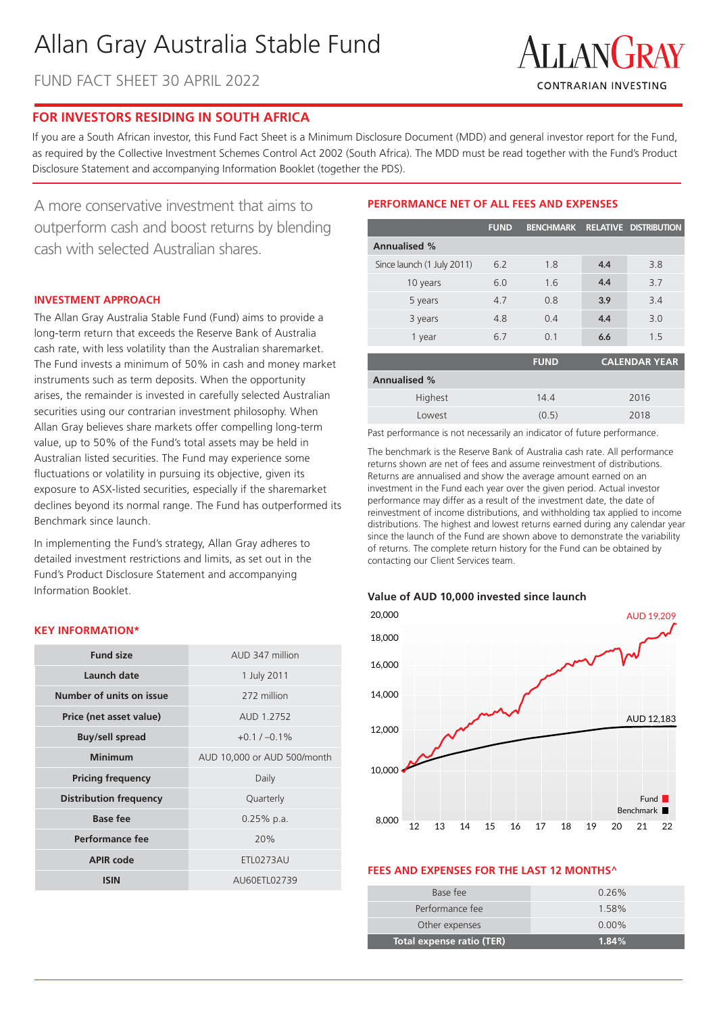# Allan Gray Australia Stable Fund

FUND FACT SHEET 30 APRIL 2022



## **FOR INVESTORS RESIDING IN SOUTH AFRICA**

If you are a South African investor, this Fund Fact Sheet is a Minimum Disclosure Document (MDD) and general investor report for the Fund, as required by the Collective Investment Schemes Control Act 2002 (South Africa). The MDD must be read together with the Fund's Product Disclosure Statement and accompanying Information Booklet (together the PDS).

A more conservative investment that aims to outperform cash and boost returns by blending cash with selected Australian shares.

## **INVESTMENT APPROACH**

The Allan Gray Australia Stable Fund (Fund) aims to provide a long-term return that exceeds the Reserve Bank of Australia cash rate, with less volatility than the Australian sharemarket. The Fund invests a minimum of 50% in cash and money market instruments such as term deposits. When the opportunity arises, the remainder is invested in carefully selected Australian securities using our contrarian investment philosophy. When Allan Gray believes share markets offer compelling long-term value, up to 50% of the Fund's total assets may be held in Australian listed securities. The Fund may experience some fluctuations or volatility in pursuing its objective, given its exposure to ASX-listed securities, especially if the sharemarket declines beyond its normal range. The Fund has outperformed its Benchmark since launch.

In implementing the Fund's strategy, Allan Gray adheres to detailed investment restrictions and limits, as set out in the Fund's Product Disclosure Statement and accompanying Information Booklet.

## **KEY INFORMATION\***

| <b>Fund size</b>              | AUD 347 million             |  |  |
|-------------------------------|-----------------------------|--|--|
| Launch date                   | 1 July 2011                 |  |  |
| Number of units on issue      | 272 million                 |  |  |
| Price (net asset value)       | AUD 1.2752                  |  |  |
| <b>Buy/sell spread</b>        | $+0.1 / -0.1\%$             |  |  |
| Minimum                       | AUD 10,000 or AUD 500/month |  |  |
| <b>Pricing frequency</b>      | Daily                       |  |  |
| <b>Distribution frequency</b> | Quarterly                   |  |  |
| Base fee                      | $0.25%$ p.a.                |  |  |
| Performance fee               | 20%                         |  |  |
| <b>APIR code</b>              | ETL0273AU                   |  |  |
| <b>ISIN</b>                   | AU60ETL02739                |  |  |

## **PERFORMANCE NET OF ALL FEES AND EXPENSES**

|                            | <b>FUND</b> |             |      | BENCHMARK RELATIVE DISTRIBUTION |  |
|----------------------------|-------------|-------------|------|---------------------------------|--|
| <b>Annualised %</b>        |             |             |      |                                 |  |
| Since launch (1 July 2011) | 6.2         | 1.8         | 4.4  | 3.8                             |  |
| 10 years                   | 6.0         | 1.6         | 4.4  | 3.7                             |  |
| 5 years                    | 4.7         | 0.8         | 3.9  | 3.4                             |  |
| 3 years                    | 4.8         | 0.4         | 4.4  | 3.0                             |  |
| 1 year                     | 6.7         | 0.1         | 6.6  | 1.5                             |  |
|                            |             | <b>FUND</b> |      | <b>CALENDAR YEAR</b>            |  |
| <b>Annualised %</b>        |             |             |      |                                 |  |
| Highest                    |             | 14.4        | 2016 |                                 |  |
| Lowest                     |             | (0.5)       | 2018 |                                 |  |

Past performance is not necessarily an indicator of future performance.

The benchmark is the Reserve Bank of Australia cash rate. All performance returns shown are net of fees and assume reinvestment of distributions. Returns are annualised and show the average amount earned on an investment in the Fund each year over the given period. Actual investor performance may differ as a result of the investment date, the date of reinvestment of income distributions, and withholding tax applied to income distributions. The highest and lowest returns earned during any calendar year since the launch of the Fund are shown above to demonstrate the variability of returns. The complete return history for the Fund can be obtained by contacting our Client Services team.

#### **Value of AUD 10,000 invested since launch**



#### **FEES AND EXPENSES FOR THE LAST 12 MONTHS^**

| Base fee                  | $0.26\%$ |
|---------------------------|----------|
| Performance fee           | 1.58%    |
| Other expenses            | $0.00\%$ |
| Total expense ratio (TER) | 1.84%    |